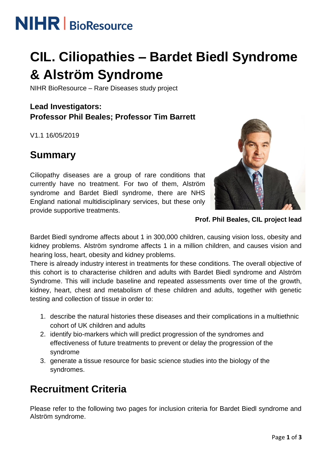# **NIHR** | BioResource

# **CIL. Ciliopathies – Bardet Biedl Syndrome & Alström Syndrome**

NIHR BioResource – Rare Diseases study project

### **Lead Investigators: Professor Phil Beales; Professor Tim Barrett**

V1.1 16/05/2019

### **Summary**

Ciliopathy diseases are a group of rare conditions that currently have no treatment. For two of them, Alström syndrome and Bardet Biedl syndrome, there are NHS England national multidisciplinary services, but these only provide supportive treatments.



**Prof. Phil Beales, CIL project lead**

Bardet Biedl syndrome affects about 1 in 300,000 children, causing vision loss, obesity and kidney problems. Alström syndrome affects 1 in a million children, and causes vision and hearing loss, heart, obesity and kidney problems.

There is already industry interest in treatments for these conditions. The overall objective of this cohort is to characterise children and adults with Bardet Biedl syndrome and Alström Syndrome. This will include baseline and repeated assessments over time of the growth, kidney, heart, chest and metabolism of these children and adults, together with genetic testing and collection of tissue in order to:

- 1. describe the natural histories these diseases and their complications in a multiethnic cohort of UK children and adults
- 2. identify bio-markers which will predict progression of the syndromes and effectiveness of future treatments to prevent or delay the progression of the syndrome
- 3. generate a tissue resource for basic science studies into the biology of the syndromes.

## **Recruitment Criteria**

Please refer to the following two pages for inclusion criteria for Bardet Biedl syndrome and Alström syndrome.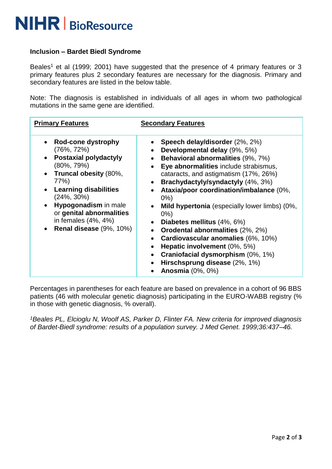

#### **Inclusion – Bardet Biedl Syndrome**

Beales<sup>1</sup> et al (1999; 2001) have suggested that the presence of 4 primary features or 3 primary features plus 2 secondary features are necessary for the diagnosis. Primary and secondary features are listed in the below table.

Note: The diagnosis is established in individuals of all ages in whom two pathological mutations in the same gene are identified.

| <b>Primary Features</b>                                                                                                                                                                                                                                                                         | <b>Secondary Features</b>                                                                                                                                                                                                                                                                                                                                                                                                                                                                                                                                                                                                                                                                                                                        |
|-------------------------------------------------------------------------------------------------------------------------------------------------------------------------------------------------------------------------------------------------------------------------------------------------|--------------------------------------------------------------------------------------------------------------------------------------------------------------------------------------------------------------------------------------------------------------------------------------------------------------------------------------------------------------------------------------------------------------------------------------------------------------------------------------------------------------------------------------------------------------------------------------------------------------------------------------------------------------------------------------------------------------------------------------------------|
| Rod-cone dystrophy<br>(76%, 72%)<br><b>Postaxial polydactyly</b><br>$(80\%, 79\%)$<br>Truncal obesity (80%,<br>77%)<br><b>Learning disabilities</b><br>$(24\%, 30\%)$<br>Hypogonadism in male<br>$\bullet$<br>or genital abnormalities<br>in females (4%, 4%)<br><b>Renal disease</b> (9%, 10%) | Speech delay/disorder (2%, 2%)<br>Developmental delay (9%, 5%)<br>$\bullet$<br><b>Behavioral abnormalities (9%, 7%)</b><br>$\bullet$<br>Eye abnormalities include strabismus,<br>$\bullet$<br>cataracts, and astigmatism (17%, 26%)<br>Brachydactyly/syndactyly (4%, 3%)<br>$\bullet$<br>Ataxia/poor coordination/imbalance (0%,<br>$\bullet$<br>$0\%$ )<br>Mild hypertonia (especially lower limbs) (0%,<br>$0\%$<br>Diabetes mellitus (4%, 6%)<br>$\bullet$<br><b>Orodental abnormalities (2%, 2%)</b><br>$\bullet$<br>Cardiovascular anomalies (6%, 10%)<br>$\bullet$<br>Hepatic involvement (0%, 5%)<br>$\bullet$<br>Craniofacial dysmorphism (0%, 1%)<br>$\bullet$<br>Hirschsprung disease (2%, 1%)<br><b>Anosmia</b> (0%, 0%)<br>$\bullet$ |

Percentages in parentheses for each feature are based on prevalence in a cohort of 96 BBS patients (46 with molecular genetic diagnosis) participating in the EURO-WABB registry (% in those with genetic diagnosis, % overall).

*<sup>1</sup>Beales PL, Elcioglu N, Woolf AS, Parker D, Flinter FA. New criteria for improved diagnosis of Bardet-Biedl syndrome: results of a population survey. J Med Genet. 1999;36:437–46.*